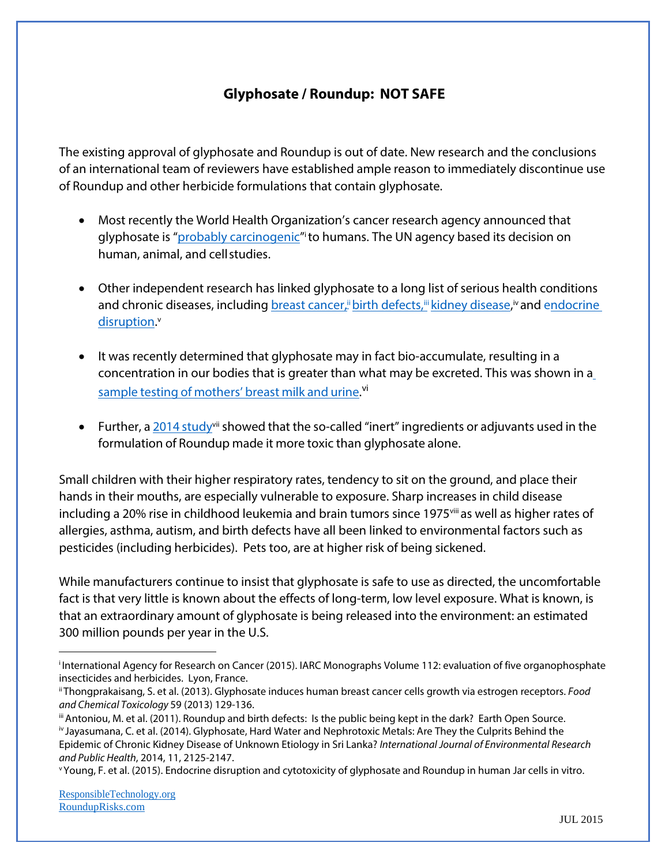## **Glyphosate / Roundup: NOT SAFE**

The existing approval of glyphosate and Roundup is out of date. New research and the conclusions of an international team of reviewers have established ample reason to immediately discontinue use of Roundup and other herbicide formulations that contain glyphosate.

- Most recently the World Health Organization's cancer research agency announced that glyphosate is "<u>probably carcinogenic</u>" to humans. The UN agency based its decision on human, animal, and cellstudies.
- Other independent research has linked glyphosate to a long list of serious health conditions [and chronic diseases, including](http://rounduprisks.com/thongprakaisang-glyphosate-induces-human-breast-cancer-cells-growth-via-estrogen-receptors/) <u>breast cancer," birth defects,"" kidney disease</u>," and e<u>ndocrine</u> [disruption.](http://rounduprisks.com/young-endocrine-disruption-and-cytotoxicity-of-glyphosate-2/)<sup>v</sup>
- It was recently determined that glyphosate may in fact bio-accumulate, resulting in a concentration in our bodies that is greater than what may be excreted. This was shown in a sample testing of [mothers'](http://www.momsacrossamerica.com/glyphosate_testing_results) breast milk and urine.<sup>[vi](http://www.momsacrossamerica.com/glyphosate_testing_results)</sup>
- Further, a  $2014$  study<sup>vii</sup> showed that the so-called "inert" ingredients or adjuvants used in the formulation of Roundup made it more toxic than glyphosate alone.

Small children with their higher respiratory rates, tendency to sit on the ground, and place their hands in their mouths, are especially vulnerable to exposure. Sharp increases in child disease including a 20% rise in childhood leukemia and brain tumors since 1975 ii as well as higher rates of allergies, asthma, autism, and birth defects have all been linked to environmental factors such as pesticides (including herbicides). Pets too, are at higher risk of being sickened.

While manufacturers continue to insist that glyphosate is safe to use as directed, the uncomfortable fact is that very little is known about the effects of long-term, low level exposure. What is known, is that an extraordinary amount of glyphosate is being released into the environment: an estimated 300 million pounds per year in the U.S.

i International Agency for Research on Cancer (2015). IARC Monographs Volume 112: evaluation of five organophosphate insecticides and herbicides. Lyon, France.

ii Thongprakaisang, S. et al. (2013). Glyphosate induces human breast cancer cells growth via estrogen receptors. *Food and Chemical Toxicology* 59 (2013) 129-136.

iii Antoniou, M. et al. (2011). Roundup and birth defects: Is the public being kept in the dark? Earth Open Source. iv Jayasumana, C. et al. (2014). Glyphosate, Hard Water and Nephrotoxic Metals: Are They the Culprits Behind the Epidemic of Chronic Kidney Disease of Unknown Etiology in Sri Lanka? *International Journal of Environmental Research and Public Health*, 2014, 11, 2125-2147.

<span id="page-0-0"></span>v Young, F. et al. (2015). Endocrine disruption and cytotoxicity of glyphosate and Roundup in human Jar cells in vitro.